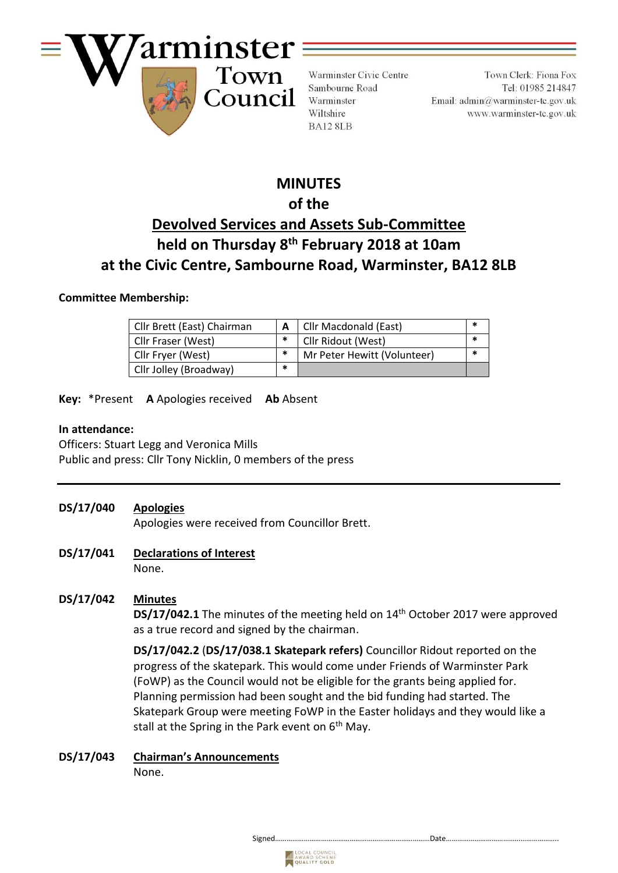

Warminster Civic Centre Sambourne Road Warminster Wiltshire BA12 8LB

Town Clerk: Fiona Fox Tel: 01985 214847 Email:  $\text{admin@warminster-to.gov.uk}$ www.warminster-tc.gov.uk

# **MINUTES of the Devolved Services and Assets Sub-Committee held on Thursday 8 th February 2018 at 10am at the Civic Centre, Sambourne Road, Warminster, BA12 8LB**

#### **Committee Membership:**

| Cllr Brett (East) Chairman |        | Cllr Macdonald (East)       |  |
|----------------------------|--------|-----------------------------|--|
| Cllr Fraser (West)         | ∗      | Cllr Ridout (West)          |  |
| Cllr Fryer (West)          | $\ast$ | Mr Peter Hewitt (Volunteer) |  |
| Cllr Jolley (Broadway)     | *      |                             |  |

**Key:** \*Present **A** Apologies received **Ab** Absent

#### **In attendance:**

Officers: Stuart Legg and Veronica Mills Public and press: Cllr Tony Nicklin, 0 members of the press

**DS/17/040 Apologies**

Apologies were received from Councillor Brett.

**DS/17/041 Declarations of Interest** None.

# **DS/17/042 Minutes**

DS/17/042.1 The minutes of the meeting held on 14<sup>th</sup> October 2017 were approved as a true record and signed by the chairman.

**DS/17/042.2** (**DS/17/038.1 Skatepark refers)** Councillor Ridout reported on the progress of the skatepark. This would come under Friends of Warminster Park (FoWP) as the Council would not be eligible for the grants being applied for. Planning permission had been sought and the bid funding had started. The Skatepark Group were meeting FoWP in the Easter holidays and they would like a stall at the Spring in the Park event on 6<sup>th</sup> May.

**DS/17/043 Chairman's Announcements** None.

Signed………………………………………………………………………Date…………………………………………………..

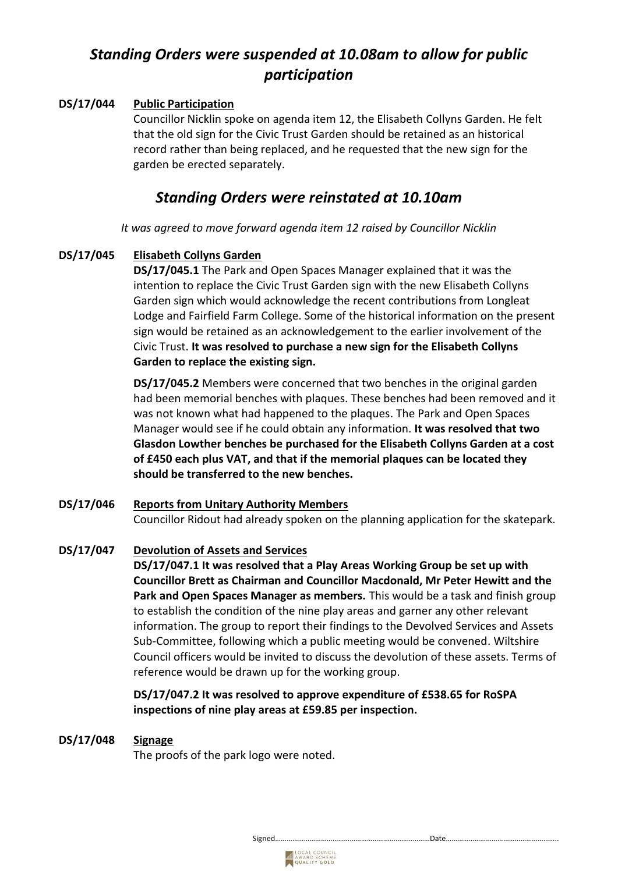# *Standing Orders were suspended at 10.08am to allow for public participation*

# **DS/17/044 Public Participation**

Councillor Nicklin spoke on agenda item 12, the Elisabeth Collyns Garden. He felt that the old sign for the Civic Trust Garden should be retained as an historical record rather than being replaced, and he requested that the new sign for the garden be erected separately.

# *Standing Orders were reinstated at 10.10am*

*It was agreed to move forward agenda item 12 raised by Councillor Nicklin*

#### **DS/17/045 Elisabeth Collyns Garden**

**DS/17/045.1** The Park and Open Spaces Manager explained that it was the intention to replace the Civic Trust Garden sign with the new Elisabeth Collyns Garden sign which would acknowledge the recent contributions from Longleat Lodge and Fairfield Farm College. Some of the historical information on the present sign would be retained as an acknowledgement to the earlier involvement of the Civic Trust. **It was resolved to purchase a new sign for the Elisabeth Collyns Garden to replace the existing sign.**

**DS/17/045.2** Members were concerned that two benches in the original garden had been memorial benches with plaques. These benches had been removed and it was not known what had happened to the plaques. The Park and Open Spaces Manager would see if he could obtain any information. **It was resolved that two Glasdon Lowther benches be purchased for the Elisabeth Collyns Garden at a cost of £450 each plus VAT, and that if the memorial plaques can be located they should be transferred to the new benches.** 

# **DS/17/046 Reports from Unitary Authority Members** Councillor Ridout had already spoken on the planning application for the skatepark.

#### **DS/17/047 Devolution of Assets and Services**

**DS/17/047.1 It was resolved that a Play Areas Working Group be set up with Councillor Brett as Chairman and Councillor Macdonald, Mr Peter Hewitt and the Park and Open Spaces Manager as members.** This would be a task and finish group to establish the condition of the nine play areas and garner any other relevant information. The group to report their findings to the Devolved Services and Assets Sub-Committee, following which a public meeting would be convened. Wiltshire Council officers would be invited to discuss the devolution of these assets. Terms of reference would be drawn up for the working group.

**DS/17/047.2 It was resolved to approve expenditure of £538.65 for RoSPA inspections of nine play areas at £59.85 per inspection.** 

#### **DS/17/048 Signage**

The proofs of the park logo were noted.

Signed………………………………………………………………………Date…………………………………………………..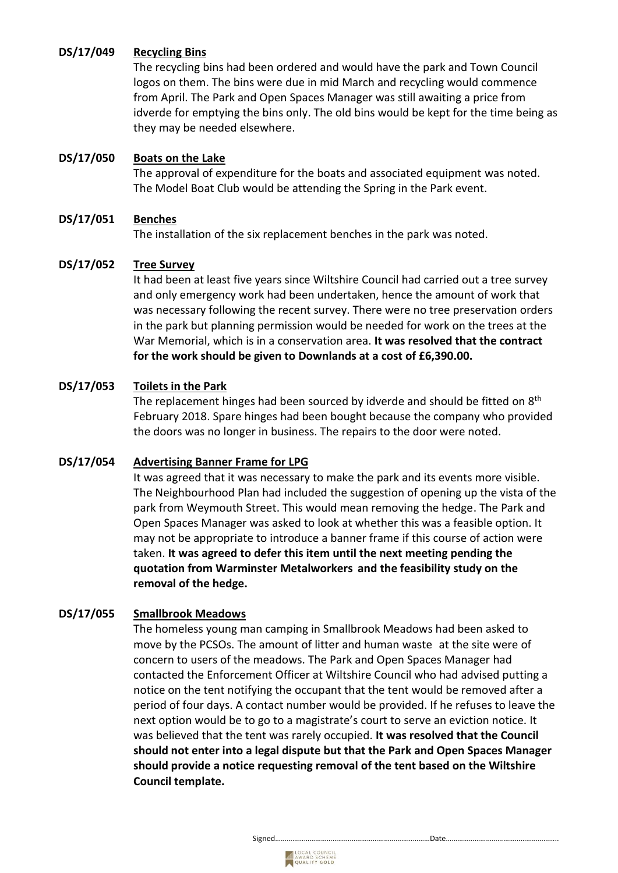# **DS/17/049 Recycling Bins**

The recycling bins had been ordered and would have the park and Town Council logos on them. The bins were due in mid March and recycling would commence from April. The Park and Open Spaces Manager was still awaiting a price from idverde for emptying the bins only. The old bins would be kept for the time being as they may be needed elsewhere.

# **DS/17/050 Boats on the Lake**

The approval of expenditure for the boats and associated equipment was noted. The Model Boat Club would be attending the Spring in the Park event.

# **DS/17/051 Benches**

The installation of the six replacement benches in the park was noted.

#### **DS/17/052 Tree Survey**

It had been at least five years since Wiltshire Council had carried out a tree survey and only emergency work had been undertaken, hence the amount of work that was necessary following the recent survey. There were no tree preservation orders in the park but planning permission would be needed for work on the trees at the War Memorial, which is in a conservation area. **It was resolved that the contract for the work should be given to Downlands at a cost of £6,390.00.** 

# **DS/17/053 Toilets in the Park**

The replacement hinges had been sourced by idverde and should be fitted on 8<sup>th</sup> February 2018. Spare hinges had been bought because the company who provided the doors was no longer in business. The repairs to the door were noted.

#### **DS/17/054 Advertising Banner Frame for LPG**

It was agreed that it was necessary to make the park and its events more visible. The Neighbourhood Plan had included the suggestion of opening up the vista of the park from Weymouth Street. This would mean removing the hedge. The Park and Open Spaces Manager was asked to look at whether this was a feasible option. It may not be appropriate to introduce a banner frame if this course of action were taken. **It was agreed to defer this item until the next meeting pending the quotation from Warminster Metalworkers and the feasibility study on the removal of the hedge.**

# **DS/17/055 Smallbrook Meadows**

The homeless young man camping in Smallbrook Meadows had been asked to move by the PCSOs. The amount of litter and human waste at the site were of concern to users of the meadows. The Park and Open Spaces Manager had contacted the Enforcement Officer at Wiltshire Council who had advised putting a notice on the tent notifying the occupant that the tent would be removed after a period of four days. A contact number would be provided. If he refuses to leave the next option would be to go to a magistrate's court to serve an eviction notice. It was believed that the tent was rarely occupied. **It was resolved that the Council should not enter into a legal dispute but that the Park and Open Spaces Manager should provide a notice requesting removal of the tent based on the Wiltshire Council template.**



Signed………………………………………………………………………Date…………………………………………………..